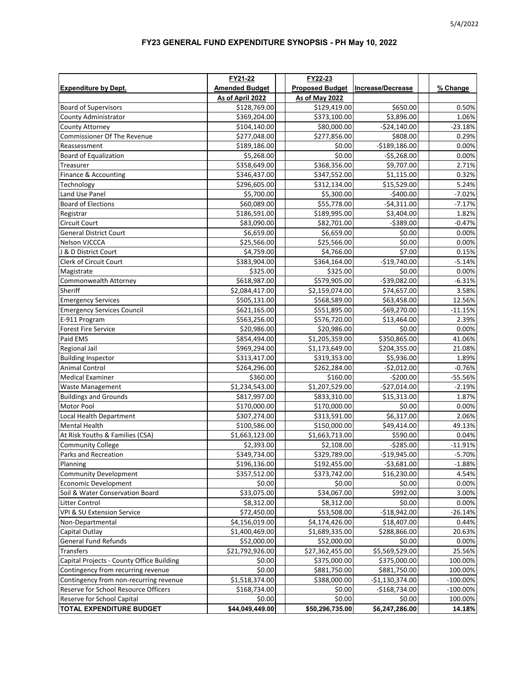## **FY23 GENERAL FUND EXPENDITURE SYNOPSIS - PH May 10, 2022**

|                                           | FY21-22               | FY22-23                |                   |             |
|-------------------------------------------|-----------------------|------------------------|-------------------|-------------|
| <b>Expenditure by Dept.</b>               | <b>Amended Budget</b> | <b>Proposed Budget</b> | Increase/Decrease | % Change    |
|                                           | As of April 2022      | <b>As of May 2022</b>  |                   |             |
| <b>Board of Supervisors</b>               | \$128,769.00          | \$129,419.00           | \$650.00          | 0.50%       |
| County Administrator                      | \$369,204.00          | \$373,100.00           | \$3,896.00        | 1.06%       |
| County Attorney                           | \$104,140.00          | \$80,000.00            | $-$24,140.00$     | $-23.18%$   |
| Commissioner Of The Revenue               | \$277,048.00          | \$277,856.00           | \$808.00          | 0.29%       |
| Reassessment                              | \$189,186.00          | \$0.00                 | $-$189,186.00$    | 0.00%       |
| <b>Board of Equalization</b>              | \$5,268.00            | \$0.00                 | $-$5,268.00$      | 0.00%       |
| Treasurer                                 | \$358,649.00          | \$368,356.00           | \$9,707.00        | 2.71%       |
| Finance & Accounting                      | \$346,437.00          | \$347,552.00           | \$1,115.00        | 0.32%       |
| Technology                                | \$296,605.00          | \$312,134.00           | \$15,529.00       | 5.24%       |
| Land Use Panel                            | \$5,700.00            | \$5,300.00             | $-$400.00$        | $-7.02%$    |
| <b>Board of Elections</b>                 | \$60,089.00           | \$55,778.00            | $-$4,311.00$      | $-7.17%$    |
| Registrar                                 | \$186,591.00          | \$189,995.00           | \$3,404.00        | 1.82%       |
| Circuit Court                             | \$83,090.00           | \$82,701.00            | $-5389.00$        | $-0.47%$    |
| <b>General District Court</b>             | \$6,659.00            | \$6,659.00             | \$0.00            | 0.00%       |
| Nelson VJCCCA                             | \$25,566.00           | \$25,566.00            | \$0.00            | 0.00%       |
| J & D District Court                      | \$4,759.00            | \$4,766.00             | \$7.00            | 0.15%       |
| Clerk of Circuit Court                    | \$383,904.00          | \$364,164.00           | $-$19,740.00$     | $-5.14%$    |
| Magistrate                                | \$325.00              | \$325.00               | \$0.00            | 0.00%       |
| Commonwealth Attorney                     | \$618,987.00          | \$579,905.00           | -\$39,082.00      | $-6.31%$    |
| Sheriff                                   | \$2,084,417.00        | \$2,159,074.00         | \$74,657.00       | 3.58%       |
| <b>Emergency Services</b>                 | \$505,131.00          | \$568,589.00           | \$63,458.00       | 12.56%      |
| <b>Emergency Services Council</b>         | \$621,165.00          | \$551,895.00           | $-$69,270.00$     | $-11.15%$   |
| E-911 Program                             | \$563,256.00          | \$576,720.00           | \$13,464.00       | 2.39%       |
| <b>Forest Fire Service</b>                | \$20,986.00           | \$20,986.00            | \$0.00            | 0.00%       |
| Paid EMS                                  | \$854,494.00          | \$1,205,359.00         | \$350,865.00      | 41.06%      |
| Regional Jail                             | \$969,294.00          | \$1,173,649.00         | \$204,355.00      | 21.08%      |
| <b>Building Inspector</b>                 | \$313,417.00          | \$319,353.00           | \$5,936.00        | 1.89%       |
| Animal Control                            | \$264,296.00          | \$262,284.00           | $-$2,012.00$      | $-0.76%$    |
| <b>Medical Examiner</b>                   | \$360.00              | \$160.00               | $-$200.00$        | $-55.56%$   |
| Waste Management                          | \$1,234,543.00        | \$1,207,529.00         | $-$27,014.00$     | $-2.19%$    |
| <b>Buildings and Grounds</b>              | \$817,997.00          | \$833,310.00           | \$15,313.00       | 1.87%       |
| Motor Pool                                | \$170,000.00          | \$170,000.00           | \$0.00            | 0.00%       |
| Local Health Department                   | \$307,274.00          | \$313,591.00           | \$6,317.00        | 2.06%       |
| Mental Health                             | \$100,586.00          | \$150,000.00           | \$49,414.00       | 49.13%      |
| At Risk Youths & Families (CSA)           | \$1,663,123.00        | \$1,663,713.00         | \$590.00          | 0.04%       |
| <b>Community College</b>                  | \$2,393.00            | \$2,108.00             | $-5285.00$        | $-11.91%$   |
| Parks and Recreation                      | \$349,734.00          | \$329,789.00           | $-519,945.00$     | $-5.70%$    |
| Planning                                  | \$196,136.00          | \$192,455.00           | $-53,681.00$      | $-1.88%$    |
| <b>Community Development</b>              | \$357,512.00          | \$373,742.00           | \$16,230.00       | 4.54%       |
| <b>Economic Development</b>               | \$0.00                | \$0.00                 | \$0.00            | 0.00%       |
| Soil & Water Conservation Board           | \$33,075.00           | \$34,067.00            | \$992.00          | 3.00%       |
| Litter Control                            | \$8,312.00            | \$8,312.00             | \$0.00            | 0.00%       |
| VPI & SU Extension Service                | \$72,450.00           | \$53,508.00            | $-$18,942.00$     | $-26.14%$   |
| Non-Departmental                          | \$4,156,019.00        | \$4,174,426.00         | \$18,407.00       | 0.44%       |
| Capital Outlay                            | \$1,400,469.00        | \$1,689,335.00         | \$288,866.00      | 20.63%      |
| <b>General Fund Refunds</b>               | \$52,000.00           | \$52,000.00            | \$0.00            | 0.00%       |
| Transfers                                 | \$21,792,926.00       | \$27,362,455.00        | \$5,569,529.00    | 25.56%      |
| Capital Projects - County Office Building | \$0.00                | \$375,000.00           | \$375,000.00      | 100.00%     |
| Contingency from recurring revenue        | \$0.00                | \$881,750.00           | \$881,750.00      | 100.00%     |
| Contingency from non-recurring revenue    | \$1,518,374.00        | \$388,000.00           | $-$1,130,374.00$  | $-100.00\%$ |
| Reserve for School Resource Officers      | \$168,734.00          | \$0.00                 | $-$168,734.00$    | $-100.00\%$ |
| Reserve for School Capital                | \$0.00                | \$0.00                 | \$0.00            | 100.00%     |
| <b>TOTAL EXPENDITURE BUDGET</b>           | \$44,049,449.00       | \$50,296,735.00        | \$6,247,286.00    | 14.18%      |